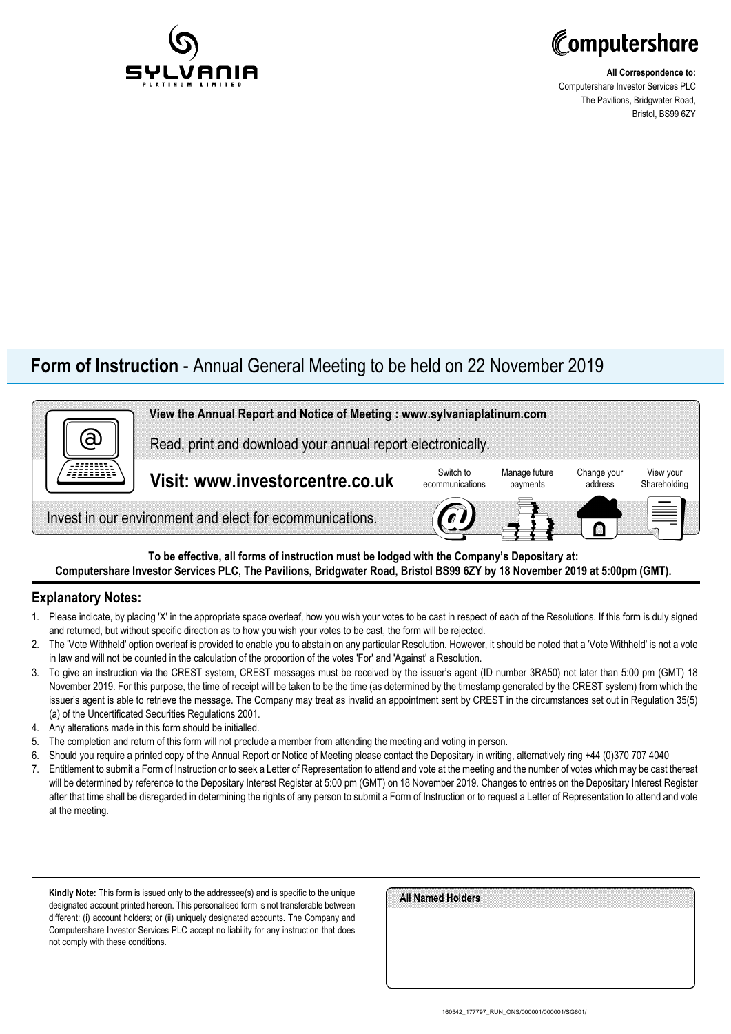



**All Correspondence to:** Computershare Investor Services PLC The Pavilions, Bridgwater Road, Bristol, BS99 6ZY

## **Form of Instruction** - Annual General Meeting to be held on 22 November 2019



**To be effective, all forms of instruction must be lodged with the Company's Depositary at: Computershare Investor Services PLC, The Pavilions, Bridgwater Road, Bristol BS99 6ZY by 18 November 2019 at 5:00pm (GMT).**

### **Explanatory Notes:**

- 1. Please indicate, by placing 'X' in the appropriate space overleaf, how you wish your votes to be cast in respect of each of the Resolutions. If this form is duly signed and returned, but without specific direction as to how you wish your votes to be cast, the form will be rejected.
- 2. The 'Vote Withheld' option overleaf is provided to enable you to abstain on any particular Resolution. However, it should be noted that a 'Vote Withheld' is not a vote in law and will not be counted in the calculation of the proportion of the votes 'For' and 'Against' a Resolution.
- 3. To give an instruction via the CREST system, CREST messages must be received by the issuer's agent (ID number 3RA50) not later than 5:00 pm (GMT) 18 November 2019. For this purpose, the time of receipt will be taken to be the time (as determined by the timestamp generated by the CREST system) from which the issuer's agent is able to retrieve the message. The Company may treat as invalid an appointment sent by CREST in the circumstances set out in Regulation 35(5) (a) of the Uncertificated Securities Regulations 2001.
- 4. Any alterations made in this form should be initialled.
- 5. The completion and return of this form will not preclude a member from attending the meeting and voting in person.
- 6. Should you require a printed copy of the Annual Report or Notice of Meeting please contact the Depositary in writing, alternatively ring +44 (0)370 707 4040
- 7. Entitlement to submit a Form of Instruction or to seek a Letter of Representation to attend and vote at the meeting and the number of votes which may be cast thereat will be determined by reference to the Depositary Interest Register at 5:00 pm (GMT) on 18 November 2019. Changes to entries on the Depositary Interest Register after that time shall be disregarded in determining the rights of any person to submit a Form of Instruction or to request a Letter of Representation to attend and vote at the meeting.

**Kindly Note:** This form is issued only to the addressee(s) and is specific to the unique designated account printed hereon. This personalised form is not transferable between different: (i) account holders; or (ii) uniquely designated accounts. The Company and Computershare Investor Services PLC accept no liability for any instruction that does not comply with these conditions.

| All Named Holders |  |  |
|-------------------|--|--|
|                   |  |  |
|                   |  |  |
|                   |  |  |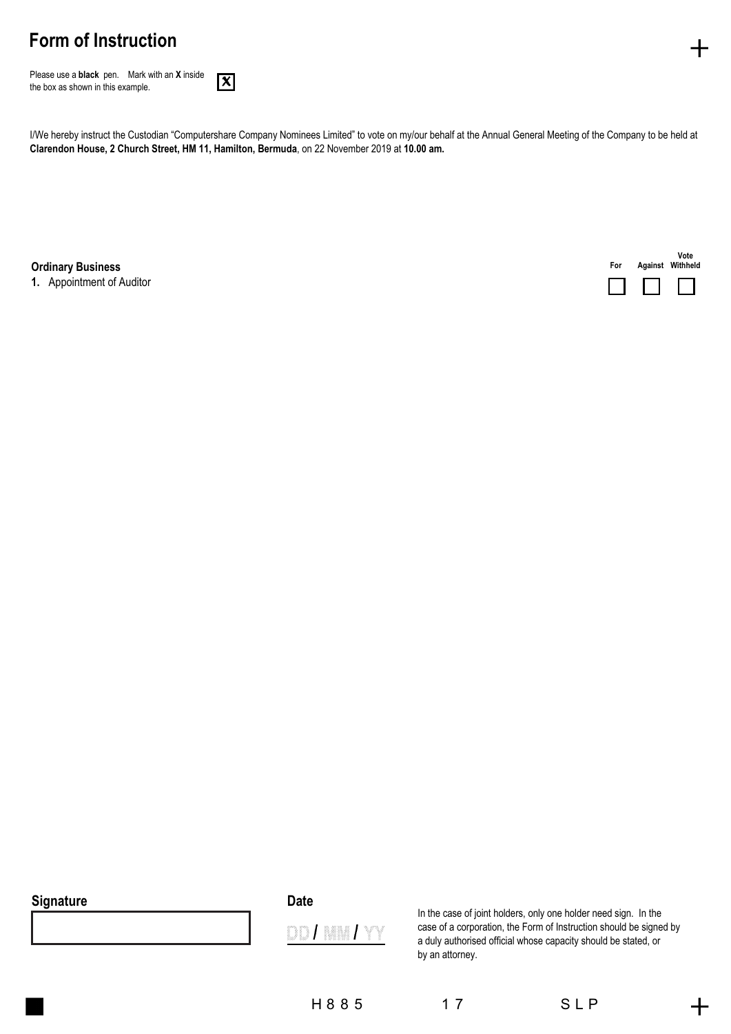# **Form of Instruction**

Please use a **black** pen.Mark with an **X** inside the box as shown in this example.



I/We hereby instruct the Custodian "Computershare Company Nominees Limited" to vote on my/our behalf at the Annual General Meeting of the Company to be held at **Clarendon House, 2 Church Street, HM 11, Hamilton, Bermuda**, on 22 November 2019 at **10.00 am.**

**Ordinary Business For** 

**1.** Appointment of Auditor



#### **Signature**

| ×<br>×<br>۰.<br>۰,<br>× |
|-------------------------|
|-------------------------|



In the case of joint holders, only one holder need sign. In the case of a corporation, the Form of Instruction should be signed by a duly authorised official whose capacity should be stated, or by an attorney.

H 8 8 5 1 7 S L P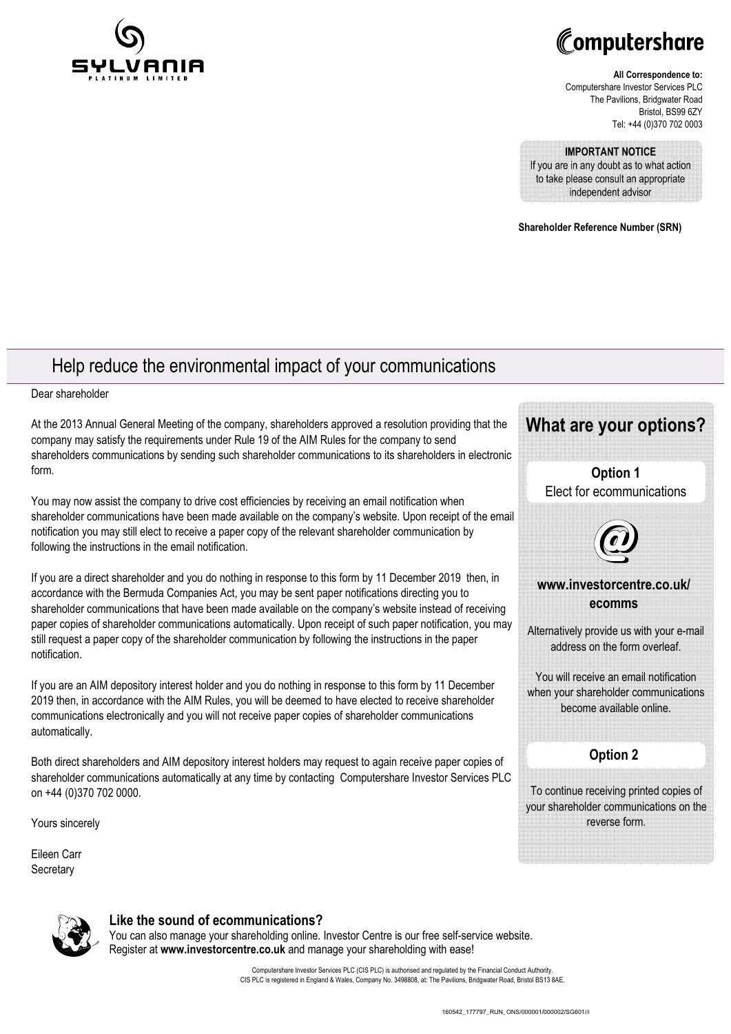



#### **All Correspondence to:** Computershare Investor Services PLC The Pavilions, Bridgwater Road Bristol, BS99 6ZY Tel: +44 (0)370 702 0003

**IMPORTANT NOTICE** 

If you are in any doubt as to what action to take please consult an appropriate independent advisor

**Shareholder Reference Number (SRN)**

## Help reduce the environmental impact of your communications

Dear shareholder

At the 2013 Annual General Meeting of the company, shareholders approved a resolution providing that the company may satisfy the requirements under Rule 19 of the AIM Rules for the company to send shareholders communications by sending such shareholder communications to its shareholders in electronic form.

You may now assist the company to drive cost efficiencies by receiving an email notification when shareholder communications have been made available on the company's website. Upon receipt of the email notification you may still elect to receive a paper copy of the relevant shareholder communication by following the instructions in the email notification.

If you are a direct shareholder and you do nothing in response to this form by 11 December 2019 then, in accordance with the Bermuda Companies Act, you may be sent paper notifications directing you to shareholder communications that have been made available on the company's website instead of receiving paper copies of shareholder communications automatically. Upon receipt of such paper notification, you may still request a paper copy of the shareholder communication by following the instructions in the paper notification.

If you are an AIM depository interest holder and you do nothing in response to this form by 11 December 2019 then, in accordance with the AIM Rules, you will be deemed to have elected to receive shareholder communications electronically and you will not receive paper copies of shareholder communications automatically.

Both direct shareholders and AIM depository interest holders may request to again receive paper copies of shareholder communications automatically at any time by contacting Computershare Investor Services PLC on +44 (0)370 702 0000.

Yours sincerely

Eileen Carr **Secretary** 



**Option 1** Elect for ecommunications



### **www.investorcentre.co.uk/ ecomms**

Alternatively provide us with your e-mail address on the form overleaf.

You will receive an email notification when your shareholder communications become available online.

### **Option 2**

To continue receiving printed copies of your shareholder communications on the reverse form.



### **Like the sound of ecommunications?**

You can also manage your shareholding online. Investor Centre is our free self-service website. Register at **www.investorcentre.co.uk** and manage your shareholding with ease!

> Computershare Investor Services PLC (CIS PLC) is authorised and regulated by the Financial Conduct Authority. CIS PLC is registered in England & Wales, Company No. 3498808, at: The Pavilions, Bridgwater Road, Bristol BS13 8AE.